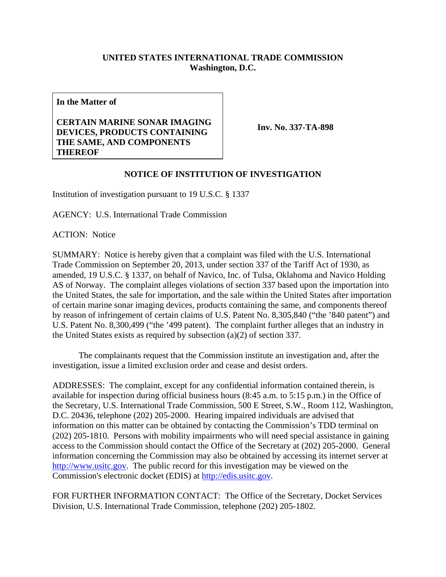## **UNITED STATES INTERNATIONAL TRADE COMMISSION Washington, D.C.**

**In the Matter of** 

## **CERTAIN MARINE SONAR IMAGING DEVICES, PRODUCTS CONTAINING THE SAME, AND COMPONENTS THEREOF**

**Inv. No. 337-TA-898**

## **NOTICE OF INSTITUTION OF INVESTIGATION**

Institution of investigation pursuant to 19 U.S.C. § 1337

AGENCY: U.S. International Trade Commission

ACTION: Notice

SUMMARY: Notice is hereby given that a complaint was filed with the U.S. International Trade Commission on September 20, 2013, under section 337 of the Tariff Act of 1930, as amended, 19 U.S.C. § 1337, on behalf of Navico, Inc. of Tulsa, Oklahoma and Navico Holding AS of Norway. The complaint alleges violations of section 337 based upon the importation into the United States, the sale for importation, and the sale within the United States after importation of certain marine sonar imaging devices, products containing the same, and components thereof by reason of infringement of certain claims of U.S. Patent No. 8,305,840 ("the '840 patent") and U.S. Patent No. 8,300,499 ("the '499 patent). The complaint further alleges that an industry in the United States exists as required by subsection (a)(2) of section 337.

 The complainants request that the Commission institute an investigation and, after the investigation, issue a limited exclusion order and cease and desist orders.

ADDRESSES: The complaint, except for any confidential information contained therein, is available for inspection during official business hours (8:45 a.m. to 5:15 p.m.) in the Office of the Secretary, U.S. International Trade Commission, 500 E Street, S.W., Room 112, Washington, D.C. 20436, telephone (202) 205-2000. Hearing impaired individuals are advised that information on this matter can be obtained by contacting the Commission's TDD terminal on (202) 205-1810. Persons with mobility impairments who will need special assistance in gaining access to the Commission should contact the Office of the Secretary at (202) 205-2000. General information concerning the Commission may also be obtained by accessing its internet server at http://www.usitc.gov. The public record for this investigation may be viewed on the Commission's electronic docket (EDIS) at http://edis.usitc.gov.

FOR FURTHER INFORMATION CONTACT: The Office of the Secretary, Docket Services Division, U.S. International Trade Commission, telephone (202) 205-1802.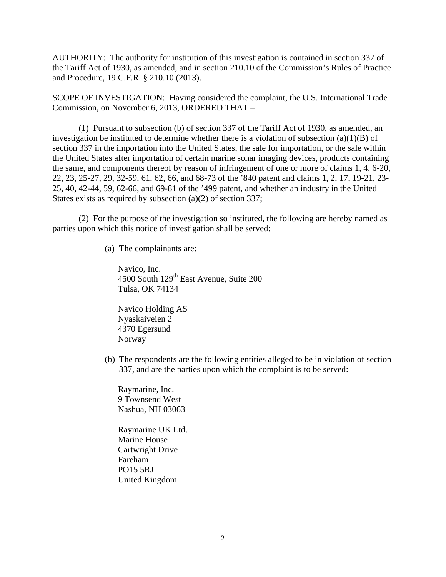AUTHORITY: The authority for institution of this investigation is contained in section 337 of the Tariff Act of 1930, as amended, and in section 210.10 of the Commission's Rules of Practice and Procedure, 19 C.F.R. § 210.10 (2013).

SCOPE OF INVESTIGATION: Having considered the complaint, the U.S. International Trade Commission, on November 6, 2013, ORDERED THAT –

 (1) Pursuant to subsection (b) of section 337 of the Tariff Act of 1930, as amended, an investigation be instituted to determine whether there is a violation of subsection  $(a)(1)(B)$  of section 337 in the importation into the United States, the sale for importation, or the sale within the United States after importation of certain marine sonar imaging devices, products containing the same, and components thereof by reason of infringement of one or more of claims 1, 4, 6-20, 22, 23, 25-27, 29, 32-59, 61, 62, 66, and 68-73 of the '840 patent and claims 1, 2, 17, 19-21, 23- 25, 40, 42-44, 59, 62-66, and 69-81 of the '499 patent, and whether an industry in the United States exists as required by subsection (a)(2) of section 337;

 (2) For the purpose of the investigation so instituted, the following are hereby named as parties upon which this notice of investigation shall be served:

(a) The complainants are:

Navico, Inc. 4500 South 129<sup>th</sup> East Avenue, Suite 200 Tulsa, OK 74134

Navico Holding AS Nyaskaiveien 2 4370 Egersund Norway

(b) The respondents are the following entities alleged to be in violation of section 337, and are the parties upon which the complaint is to be served:

Raymarine, Inc. 9 Townsend West Nashua, NH 03063

Raymarine UK Ltd. Marine House Cartwright Drive Fareham PO15 5RJ United Kingdom